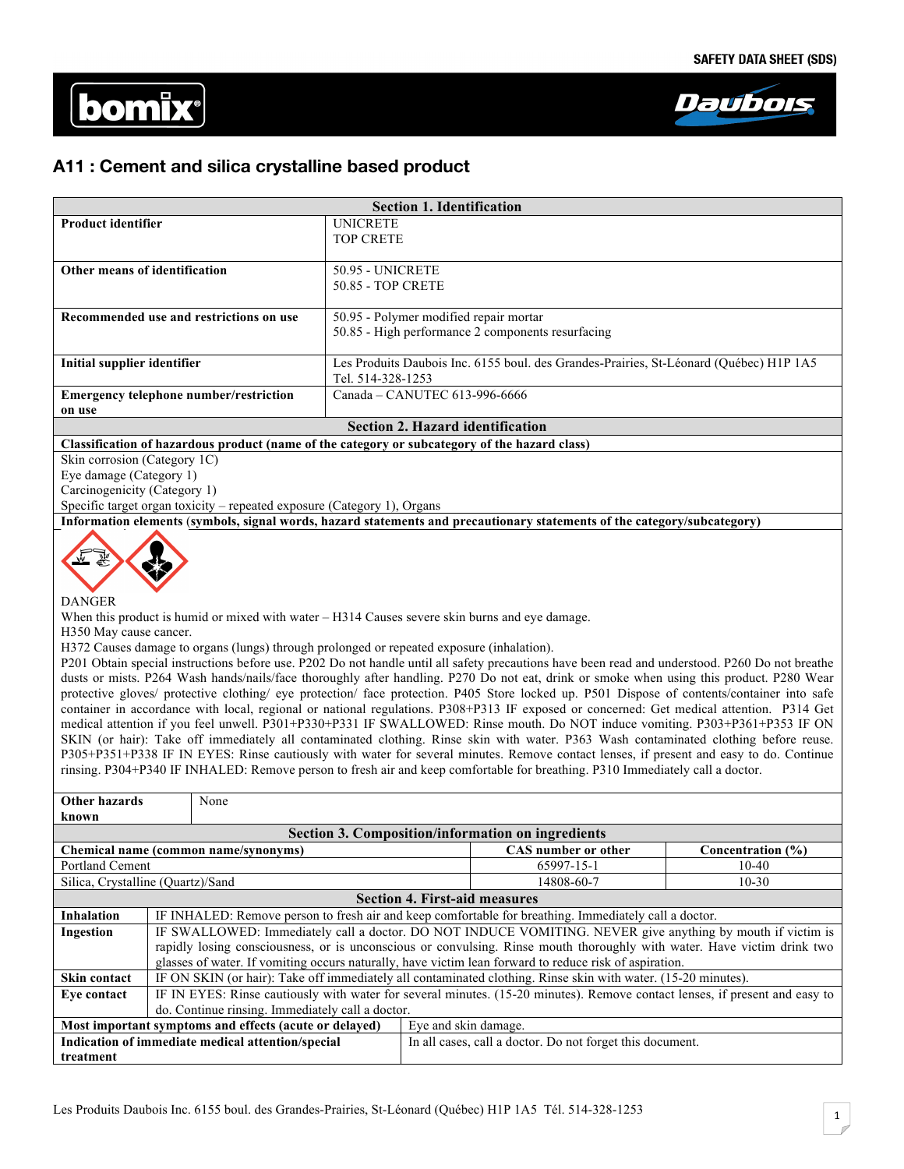



# **A11 : Cement and silica crystalline based product**

| <b>Section 1. Identification</b>                                                              |                                                                                        |  |
|-----------------------------------------------------------------------------------------------|----------------------------------------------------------------------------------------|--|
| <b>Product identifier</b>                                                                     | UNICRETE                                                                               |  |
|                                                                                               | <b>TOP CRETE</b>                                                                       |  |
|                                                                                               |                                                                                        |  |
| Other means of identification                                                                 | <b>50.95 - UNICRETE</b>                                                                |  |
|                                                                                               | <b>50.85 - TOP CRETE</b>                                                               |  |
|                                                                                               |                                                                                        |  |
| Recommended use and restrictions on use                                                       | 50.95 - Polymer modified repair mortar                                                 |  |
|                                                                                               | 50.85 - High performance 2 components resurfacing                                      |  |
|                                                                                               |                                                                                        |  |
| Initial supplier identifier                                                                   | Les Produits Daubois Inc. 6155 boul. des Grandes-Prairies, St-Léonard (Québec) H1P 1A5 |  |
|                                                                                               | Tel. 514-328-1253                                                                      |  |
| <b>Emergency telephone number/restriction</b>                                                 | Canada - CANUTEC 613-996-6666                                                          |  |
| on use                                                                                        |                                                                                        |  |
| <b>Section 2. Hazard identification</b>                                                       |                                                                                        |  |
| Classification of hazardous product (name of the category or subcategory of the hazard class) |                                                                                        |  |
| Skin corrosion (Category 1C)                                                                  |                                                                                        |  |
| Eye damage (Category 1)                                                                       |                                                                                        |  |

Carcinogenicity (Category 1)

Specific target organ toxicity – repeated exposure (Category 1), Organs

**Information elements** (**symbols, signal words, hazard statements and precautionary statements of the category/subcategory)**



DANGER

When this product is humid or mixed with water – H314 Causes severe skin burns and eye damage.

H350 May cause cancer.

H372 Causes damage to organs (lungs) through prolonged or repeated exposure (inhalation).

P201 Obtain special instructions before use. P202 Do not handle until all safety precautions have been read and understood. P260 Do not breathe dusts or mists. P264 Wash hands/nails/face thoroughly after handling. P270 Do not eat, drink or smoke when using this product. P280 Wear protective gloves/ protective clothing/ eye protection/ face protection. P405 Store locked up. P501 Dispose of contents/container into safe container in accordance with local, regional or national regulations. P308+P313 IF exposed or concerned: Get medical attention. P314 Get medical attention if you feel unwell. P301+P330+P331 IF SWALLOWED: Rinse mouth. Do NOT induce vomiting. P303+P361+P353 IF ON SKIN (or hair): Take off immediately all contaminated clothing. Rinse skin with water. P363 Wash contaminated clothing before reuse. P305+P351+P338 IF IN EYES: Rinse cautiously with water for several minutes. Remove contact lenses, if present and easy to do. Continue rinsing. P304+P340 IF INHALED: Remove person to fresh air and keep comfortable for breathing. P310 Immediately call a doctor.

| Other hazards                                                                                                           |                                                                                                                             | None                                              |                                                                                                       |  |
|-------------------------------------------------------------------------------------------------------------------------|-----------------------------------------------------------------------------------------------------------------------------|---------------------------------------------------|-------------------------------------------------------------------------------------------------------|--|
| known                                                                                                                   |                                                                                                                             |                                                   |                                                                                                       |  |
| Section 3. Composition/information on ingredients                                                                       |                                                                                                                             |                                                   |                                                                                                       |  |
| Chemical name (common name/synonyms)                                                                                    |                                                                                                                             | <b>CAS</b> number or other                        | Concentration (%)                                                                                     |  |
| <b>Portland Cement</b>                                                                                                  |                                                                                                                             | 65997-15-1                                        | $10-40$                                                                                               |  |
| Silica, Crystalline (Quartz)/Sand                                                                                       |                                                                                                                             | 14808-60-7                                        | $10 - 30$                                                                                             |  |
| <b>Section 4. First-aid measures</b>                                                                                    |                                                                                                                             |                                                   |                                                                                                       |  |
| <b>Inhalation</b>                                                                                                       |                                                                                                                             |                                                   | IF INHALED: Remove person to fresh air and keep comfortable for breathing. Immediately call a doctor. |  |
| Ingestion                                                                                                               | IF SWALLOWED: Immediately call a doctor. DO NOT INDUCE VOMITING. NEVER give anything by mouth if victim is                  |                                                   |                                                                                                       |  |
| rapidly losing consciousness, or is unconscious or convulsing. Rinse mouth thoroughly with water. Have victim drink two |                                                                                                                             |                                                   |                                                                                                       |  |
|                                                                                                                         | glasses of water. If vomiting occurs naturally, have victim lean forward to reduce risk of aspiration.                      |                                                   |                                                                                                       |  |
| Skin contact                                                                                                            | IF ON SKIN (or hair): Take off immediately all contaminated clothing. Rinse skin with water. (15-20 minutes).               |                                                   |                                                                                                       |  |
| Eye contact                                                                                                             | IF IN EYES: Rinse cautiously with water for several minutes. (15-20 minutes). Remove contact lenses, if present and easy to |                                                   |                                                                                                       |  |
| do. Continue rinsing. Immediately call a doctor.                                                                        |                                                                                                                             |                                                   |                                                                                                       |  |
| Most important symptoms and effects (acute or delayed)<br>Eye and skin damage.                                          |                                                                                                                             |                                                   |                                                                                                       |  |
|                                                                                                                         |                                                                                                                             | Indication of immediate medical attention/special | In all cases, call a doctor. Do not forget this document.                                             |  |
| treatment                                                                                                               |                                                                                                                             |                                                   |                                                                                                       |  |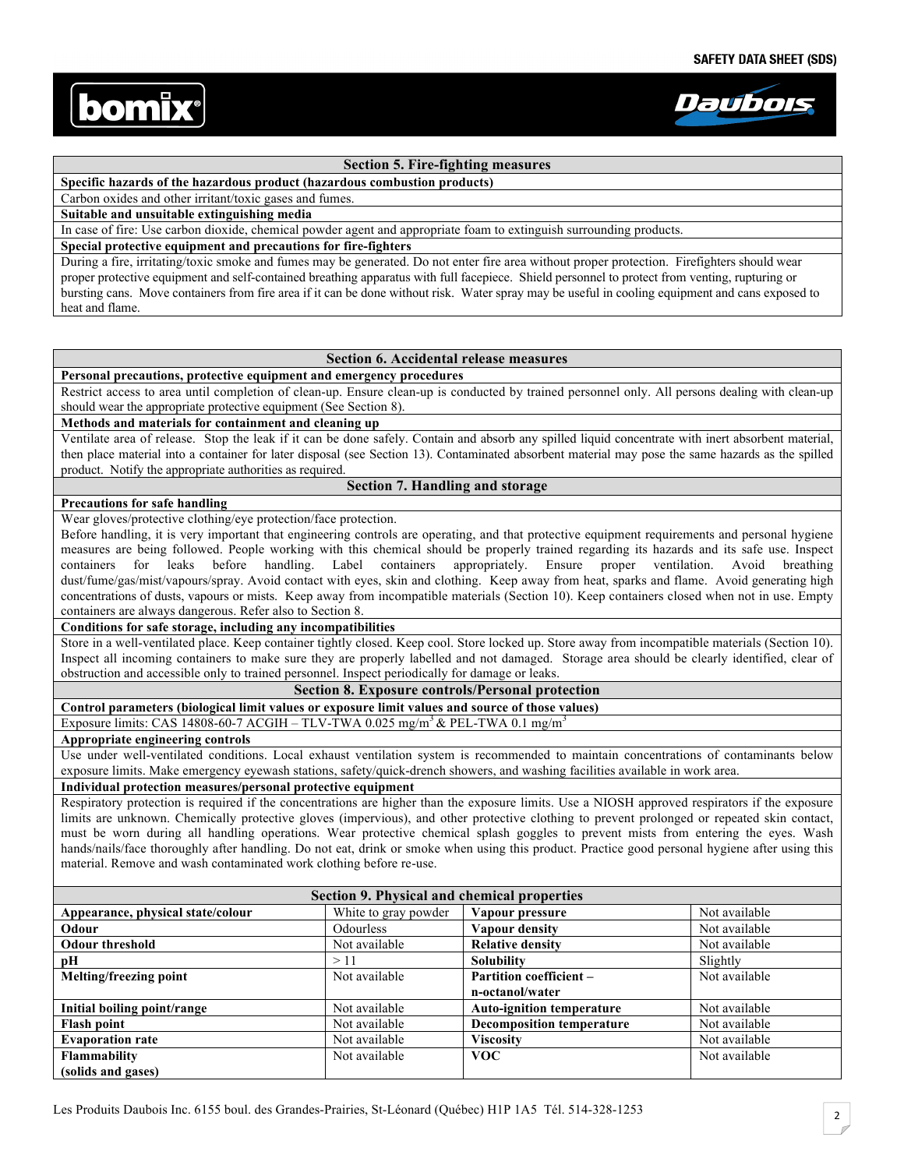



## **Section 5. Fire-fighting measures**

**Specific hazards of the hazardous product (hazardous combustion products)** 

Carbon oxides and other irritant/toxic gases and fumes.

**Suitable and unsuitable extinguishing media**

In case of fire: Use carbon dioxide, chemical powder agent and appropriate foam to extinguish surrounding products.

#### **Special protective equipment and precautions for fire-fighters**

During a fire, irritating/toxic smoke and fumes may be generated. Do not enter fire area without proper protection. Firefighters should wear proper protective equipment and self-contained breathing apparatus with full facepiece. Shield personnel to protect from venting, rupturing or bursting cans. Move containers from fire area if it can be done without risk. Water spray may be useful in cooling equipment and cans exposed to heat and flame.

## **Section 6. Accidental release measures**

## **Personal precautions, protective equipment and emergency procedures**

Restrict access to area until completion of clean-up. Ensure clean-up is conducted by trained personnel only. All persons dealing with clean-up should wear the appropriate protective equipment (See Section 8).

### **Methods and materials for containment and cleaning up**

Ventilate area of release. Stop the leak if it can be done safely. Contain and absorb any spilled liquid concentrate with inert absorbent material, then place material into a container for later disposal (see Section 13). Contaminated absorbent material may pose the same hazards as the spilled product. Notify the appropriate authorities as required.

## **Section 7. Handling and storage**

### **Precautions for safe handling**

Wear gloves/protective clothing/eye protection/face protection.

Before handling, it is very important that engineering controls are operating, and that protective equipment requirements and personal hygiene measures are being followed. People working with this chemical should be properly trained regarding its hazards and its safe use. Inspect containers for leaks before handling. Label containers appropriately. Ensure proper ventilation. Avoid breathing dust/fume/gas/mist/vapours/spray. Avoid contact with eyes, skin and clothing. Keep away from heat, sparks and flame. Avoid generating high concentrations of dusts, vapours or mists. Keep away from incompatible materials (Section 10). Keep containers closed when not in use. Empty containers are always dangerous. Refer also to Section 8.

#### **Conditions for safe storage, including any incompatibilities**

Store in a well-ventilated place. Keep container tightly closed. Keep cool. Store locked up. Store away from incompatible materials (Section 10). Inspect all incoming containers to make sure they are properly labelled and not damaged. Storage area should be clearly identified, clear of obstruction and accessible only to trained personnel. Inspect periodically for damage or leaks.

#### **Section 8. Exposure controls/Personal protection**

**Control parameters (biological limit values or exposure limit values and source of those values)** 

Exposure limits: CAS 14808-60-7 ACGIH – TLV-TWA 0.025 mg/m<sup>3</sup> & PEL-TWA 0.1 mg/m<sup>3</sup>

#### **Appropriate engineering controls**

Use under well-ventilated conditions. Local exhaust ventilation system is recommended to maintain concentrations of contaminants below exposure limits. Make emergency eyewash stations, safety/quick-drench showers, and washing facilities available in work area.

#### **Individual protection measures/personal protective equipment**

Respiratory protection is required if the concentrations are higher than the exposure limits. Use a NIOSH approved respirators if the exposure limits are unknown. Chemically protective gloves (impervious), and other protective clothing to prevent prolonged or repeated skin contact, must be worn during all handling operations. Wear protective chemical splash goggles to prevent mists from entering the eyes. Wash hands/nails/face thoroughly after handling. Do not eat, drink or smoke when using this product. Practice good personal hygiene after using this material. Remove and wash contaminated work clothing before re-use.

| Section 9. Physical and chemical properties |                      |                                  |               |
|---------------------------------------------|----------------------|----------------------------------|---------------|
| Appearance, physical state/colour           | White to gray powder | Vapour pressure                  | Not available |
| Odour                                       | Odourless            | Vapour density                   | Not available |
| <b>Odour threshold</b>                      | Not available        | <b>Relative density</b>          | Not available |
| рH                                          | >11                  | <b>Solubility</b>                | Slightly      |
| <b>Melting/freezing point</b>               | Not available        | <b>Partition coefficient -</b>   | Not available |
|                                             |                      | n-octanol/water                  |               |
| Initial boiling point/range                 | Not available        | <b>Auto-ignition temperature</b> | Not available |
| <b>Flash point</b>                          | Not available        | <b>Decomposition temperature</b> | Not available |
| <b>Evaporation rate</b>                     | Not available        | <b>Viscosity</b>                 | Not available |
| <b>Flammability</b>                         | Not available        | <b>VOC</b>                       | Not available |
| (solids and gases)                          |                      |                                  |               |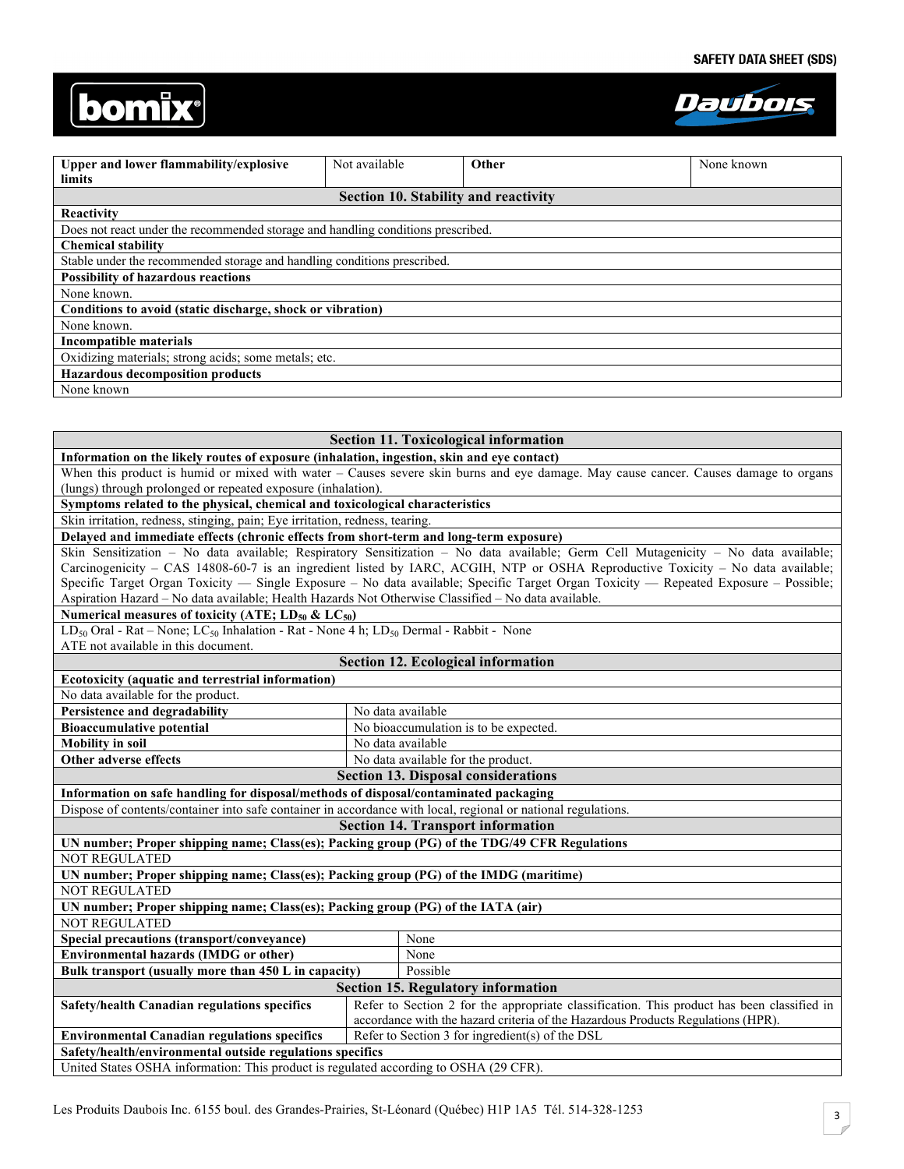



| Upper and lower flammability/explosive                                           | Not available | Other                                       | None known |
|----------------------------------------------------------------------------------|---------------|---------------------------------------------|------------|
| limits                                                                           |               |                                             |            |
|                                                                                  |               | <b>Section 10. Stability and reactivity</b> |            |
| Reactivity                                                                       |               |                                             |            |
| Does not react under the recommended storage and handling conditions prescribed. |               |                                             |            |
| <b>Chemical stability</b>                                                        |               |                                             |            |
| Stable under the recommended storage and handling conditions prescribed.         |               |                                             |            |
| <b>Possibility of hazardous reactions</b>                                        |               |                                             |            |
| None known.                                                                      |               |                                             |            |
| Conditions to avoid (static discharge, shock or vibration)                       |               |                                             |            |
| None known.                                                                      |               |                                             |            |
| Incompatible materials                                                           |               |                                             |            |
| Oxidizing materials; strong acids; some metals; etc.                             |               |                                             |            |
| <b>Hazardous decomposition products</b>                                          |               |                                             |            |
| None known                                                                       |               |                                             |            |

| Information on the likely routes of exposure (inhalation, ingestion, skin and eye contact)<br>When this product is humid or mixed with water – Causes severe skin burns and eye damage. May cause cancer. Causes damage to organs<br>(lungs) through prolonged or repeated exposure (inhalation).<br>Symptoms related to the physical, chemical and toxicological characteristics<br>Skin irritation, redness, stinging, pain; Eye irritation, redness, tearing.<br>Delayed and immediate effects (chronic effects from short-term and long-term exposure)<br>Skin Sensitization - No data available; Respiratory Sensitization - No data available; Germ Cell Mutagenicity - No data available;<br>Carcinogenicity - CAS 14808-60-7 is an ingredient listed by IARC, ACGIH, NTP or OSHA Reproductive Toxicity - No data available;<br>Specific Target Organ Toxicity — Single Exposure – No data available; Specific Target Organ Toxicity — Repeated Exposure – Possible;<br>Aspiration Hazard - No data available; Health Hazards Not Otherwise Classified - No data available.<br>Numerical measures of toxicity (ATE; $LD_{50}$ & $LC_{50}$ )<br>$LD_{50}$ Oral - Rat – None; $LC_{50}$ Inhalation - Rat - None 4 h; $LD_{50}$ Dermal - Rabbit - None<br>ATE not available in this document.<br><b>Section 12. Ecological information</b><br>Ecotoxicity (aquatic and terrestrial information)<br>No data available for the product. |                               | <b>Section 11. Toxicological information</b> |  |  |
|-------------------------------------------------------------------------------------------------------------------------------------------------------------------------------------------------------------------------------------------------------------------------------------------------------------------------------------------------------------------------------------------------------------------------------------------------------------------------------------------------------------------------------------------------------------------------------------------------------------------------------------------------------------------------------------------------------------------------------------------------------------------------------------------------------------------------------------------------------------------------------------------------------------------------------------------------------------------------------------------------------------------------------------------------------------------------------------------------------------------------------------------------------------------------------------------------------------------------------------------------------------------------------------------------------------------------------------------------------------------------------------------------------------------------------------------|-------------------------------|----------------------------------------------|--|--|
|                                                                                                                                                                                                                                                                                                                                                                                                                                                                                                                                                                                                                                                                                                                                                                                                                                                                                                                                                                                                                                                                                                                                                                                                                                                                                                                                                                                                                                           |                               |                                              |  |  |
|                                                                                                                                                                                                                                                                                                                                                                                                                                                                                                                                                                                                                                                                                                                                                                                                                                                                                                                                                                                                                                                                                                                                                                                                                                                                                                                                                                                                                                           |                               |                                              |  |  |
|                                                                                                                                                                                                                                                                                                                                                                                                                                                                                                                                                                                                                                                                                                                                                                                                                                                                                                                                                                                                                                                                                                                                                                                                                                                                                                                                                                                                                                           |                               |                                              |  |  |
|                                                                                                                                                                                                                                                                                                                                                                                                                                                                                                                                                                                                                                                                                                                                                                                                                                                                                                                                                                                                                                                                                                                                                                                                                                                                                                                                                                                                                                           |                               |                                              |  |  |
|                                                                                                                                                                                                                                                                                                                                                                                                                                                                                                                                                                                                                                                                                                                                                                                                                                                                                                                                                                                                                                                                                                                                                                                                                                                                                                                                                                                                                                           |                               |                                              |  |  |
|                                                                                                                                                                                                                                                                                                                                                                                                                                                                                                                                                                                                                                                                                                                                                                                                                                                                                                                                                                                                                                                                                                                                                                                                                                                                                                                                                                                                                                           |                               |                                              |  |  |
|                                                                                                                                                                                                                                                                                                                                                                                                                                                                                                                                                                                                                                                                                                                                                                                                                                                                                                                                                                                                                                                                                                                                                                                                                                                                                                                                                                                                                                           |                               |                                              |  |  |
|                                                                                                                                                                                                                                                                                                                                                                                                                                                                                                                                                                                                                                                                                                                                                                                                                                                                                                                                                                                                                                                                                                                                                                                                                                                                                                                                                                                                                                           |                               |                                              |  |  |
|                                                                                                                                                                                                                                                                                                                                                                                                                                                                                                                                                                                                                                                                                                                                                                                                                                                                                                                                                                                                                                                                                                                                                                                                                                                                                                                                                                                                                                           |                               |                                              |  |  |
|                                                                                                                                                                                                                                                                                                                                                                                                                                                                                                                                                                                                                                                                                                                                                                                                                                                                                                                                                                                                                                                                                                                                                                                                                                                                                                                                                                                                                                           |                               |                                              |  |  |
|                                                                                                                                                                                                                                                                                                                                                                                                                                                                                                                                                                                                                                                                                                                                                                                                                                                                                                                                                                                                                                                                                                                                                                                                                                                                                                                                                                                                                                           |                               |                                              |  |  |
|                                                                                                                                                                                                                                                                                                                                                                                                                                                                                                                                                                                                                                                                                                                                                                                                                                                                                                                                                                                                                                                                                                                                                                                                                                                                                                                                                                                                                                           |                               |                                              |  |  |
|                                                                                                                                                                                                                                                                                                                                                                                                                                                                                                                                                                                                                                                                                                                                                                                                                                                                                                                                                                                                                                                                                                                                                                                                                                                                                                                                                                                                                                           |                               |                                              |  |  |
|                                                                                                                                                                                                                                                                                                                                                                                                                                                                                                                                                                                                                                                                                                                                                                                                                                                                                                                                                                                                                                                                                                                                                                                                                                                                                                                                                                                                                                           | Persistence and degradability | No data available                            |  |  |
| <b>Bioaccumulative potential</b>                                                                                                                                                                                                                                                                                                                                                                                                                                                                                                                                                                                                                                                                                                                                                                                                                                                                                                                                                                                                                                                                                                                                                                                                                                                                                                                                                                                                          |                               | No bioaccumulation is to be expected.        |  |  |
| <b>Mobility</b> in soil<br>No data available                                                                                                                                                                                                                                                                                                                                                                                                                                                                                                                                                                                                                                                                                                                                                                                                                                                                                                                                                                                                                                                                                                                                                                                                                                                                                                                                                                                              |                               |                                              |  |  |
| Other adverse effects<br>No data available for the product.                                                                                                                                                                                                                                                                                                                                                                                                                                                                                                                                                                                                                                                                                                                                                                                                                                                                                                                                                                                                                                                                                                                                                                                                                                                                                                                                                                               |                               |                                              |  |  |
| <b>Section 13. Disposal considerations</b>                                                                                                                                                                                                                                                                                                                                                                                                                                                                                                                                                                                                                                                                                                                                                                                                                                                                                                                                                                                                                                                                                                                                                                                                                                                                                                                                                                                                |                               |                                              |  |  |
| Information on safe handling for disposal/methods of disposal/contaminated packaging                                                                                                                                                                                                                                                                                                                                                                                                                                                                                                                                                                                                                                                                                                                                                                                                                                                                                                                                                                                                                                                                                                                                                                                                                                                                                                                                                      |                               |                                              |  |  |
| Dispose of contents/container into safe container in accordance with local, regional or national regulations.                                                                                                                                                                                                                                                                                                                                                                                                                                                                                                                                                                                                                                                                                                                                                                                                                                                                                                                                                                                                                                                                                                                                                                                                                                                                                                                             |                               |                                              |  |  |
| <b>Section 14. Transport information</b>                                                                                                                                                                                                                                                                                                                                                                                                                                                                                                                                                                                                                                                                                                                                                                                                                                                                                                                                                                                                                                                                                                                                                                                                                                                                                                                                                                                                  |                               |                                              |  |  |
| UN number; Proper shipping name; Class(es); Packing group (PG) of the TDG/49 CFR Regulations                                                                                                                                                                                                                                                                                                                                                                                                                                                                                                                                                                                                                                                                                                                                                                                                                                                                                                                                                                                                                                                                                                                                                                                                                                                                                                                                              |                               |                                              |  |  |
| <b>NOT REGULATED</b>                                                                                                                                                                                                                                                                                                                                                                                                                                                                                                                                                                                                                                                                                                                                                                                                                                                                                                                                                                                                                                                                                                                                                                                                                                                                                                                                                                                                                      |                               |                                              |  |  |
| UN number; Proper shipping name; Class(es); Packing group (PG) of the IMDG (maritime)                                                                                                                                                                                                                                                                                                                                                                                                                                                                                                                                                                                                                                                                                                                                                                                                                                                                                                                                                                                                                                                                                                                                                                                                                                                                                                                                                     |                               |                                              |  |  |
| <b>NOT REGULATED</b>                                                                                                                                                                                                                                                                                                                                                                                                                                                                                                                                                                                                                                                                                                                                                                                                                                                                                                                                                                                                                                                                                                                                                                                                                                                                                                                                                                                                                      |                               |                                              |  |  |
| UN number; Proper shipping name; Class(es); Packing group (PG) of the IATA (air)                                                                                                                                                                                                                                                                                                                                                                                                                                                                                                                                                                                                                                                                                                                                                                                                                                                                                                                                                                                                                                                                                                                                                                                                                                                                                                                                                          |                               |                                              |  |  |
| <b>NOT REGULATED</b>                                                                                                                                                                                                                                                                                                                                                                                                                                                                                                                                                                                                                                                                                                                                                                                                                                                                                                                                                                                                                                                                                                                                                                                                                                                                                                                                                                                                                      |                               |                                              |  |  |
| Special precautions (transport/conveyance)<br>None                                                                                                                                                                                                                                                                                                                                                                                                                                                                                                                                                                                                                                                                                                                                                                                                                                                                                                                                                                                                                                                                                                                                                                                                                                                                                                                                                                                        |                               |                                              |  |  |
| <b>Environmental hazards (IMDG or other)</b><br>None                                                                                                                                                                                                                                                                                                                                                                                                                                                                                                                                                                                                                                                                                                                                                                                                                                                                                                                                                                                                                                                                                                                                                                                                                                                                                                                                                                                      |                               |                                              |  |  |
| Bulk transport (usually more than 450 L in capacity)<br>Possible                                                                                                                                                                                                                                                                                                                                                                                                                                                                                                                                                                                                                                                                                                                                                                                                                                                                                                                                                                                                                                                                                                                                                                                                                                                                                                                                                                          |                               |                                              |  |  |
| <b>Section 15. Regulatory information</b>                                                                                                                                                                                                                                                                                                                                                                                                                                                                                                                                                                                                                                                                                                                                                                                                                                                                                                                                                                                                                                                                                                                                                                                                                                                                                                                                                                                                 |                               |                                              |  |  |
| Refer to Section 2 for the appropriate classification. This product has been classified in<br>Safety/health Canadian regulations specifics                                                                                                                                                                                                                                                                                                                                                                                                                                                                                                                                                                                                                                                                                                                                                                                                                                                                                                                                                                                                                                                                                                                                                                                                                                                                                                |                               |                                              |  |  |
| accordance with the hazard criteria of the Hazardous Products Regulations (HPR).                                                                                                                                                                                                                                                                                                                                                                                                                                                                                                                                                                                                                                                                                                                                                                                                                                                                                                                                                                                                                                                                                                                                                                                                                                                                                                                                                          |                               |                                              |  |  |
| Refer to Section 3 for ingredient(s) of the DSL<br><b>Environmental Canadian regulations specifics</b>                                                                                                                                                                                                                                                                                                                                                                                                                                                                                                                                                                                                                                                                                                                                                                                                                                                                                                                                                                                                                                                                                                                                                                                                                                                                                                                                    |                               |                                              |  |  |
| Safety/health/environmental outside regulations specifics                                                                                                                                                                                                                                                                                                                                                                                                                                                                                                                                                                                                                                                                                                                                                                                                                                                                                                                                                                                                                                                                                                                                                                                                                                                                                                                                                                                 |                               |                                              |  |  |
| United States OSHA information: This product is regulated according to OSHA (29 CFR).                                                                                                                                                                                                                                                                                                                                                                                                                                                                                                                                                                                                                                                                                                                                                                                                                                                                                                                                                                                                                                                                                                                                                                                                                                                                                                                                                     |                               |                                              |  |  |